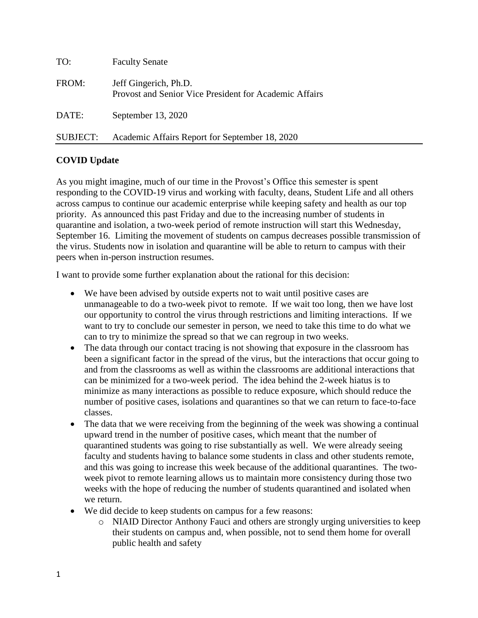| TO:      | <b>Faculty Senate</b>                                                           |
|----------|---------------------------------------------------------------------------------|
| FROM:    | Jeff Gingerich, Ph.D.<br>Provost and Senior Vice President for Academic Affairs |
| DATE:    | September 13, 2020                                                              |
| SUBJECT: | Academic Affairs Report for September 18, 2020                                  |

# **COVID Update**

As you might imagine, much of our time in the Provost's Office this semester is spent responding to the COVID-19 virus and working with faculty, deans, Student Life and all others across campus to continue our academic enterprise while keeping safety and health as our top priority. As announced this past Friday and due to the increasing number of students in quarantine and isolation, a two-week period of remote instruction will start this Wednesday, September 16. Limiting the movement of students on campus decreases possible transmission of the virus. Students now in isolation and quarantine will be able to return to campus with their peers when in-person instruction resumes.

I want to provide some further explanation about the rational for this decision:

- We have been advised by outside experts not to wait until positive cases are unmanageable to do a two-week pivot to remote. If we wait too long, then we have lost our opportunity to control the virus through restrictions and limiting interactions. If we want to try to conclude our semester in person, we need to take this time to do what we can to try to minimize the spread so that we can regroup in two weeks.
- The data through our contact tracing is not showing that exposure in the classroom has been a significant factor in the spread of the virus, but the interactions that occur going to and from the classrooms as well as within the classrooms are additional interactions that can be minimized for a two-week period. The idea behind the 2-week hiatus is to minimize as many interactions as possible to reduce exposure, which should reduce the number of positive cases, isolations and quarantines so that we can return to face-to-face classes.
- The data that we were receiving from the beginning of the week was showing a continual upward trend in the number of positive cases, which meant that the number of quarantined students was going to rise substantially as well. We were already seeing faculty and students having to balance some students in class and other students remote, and this was going to increase this week because of the additional quarantines. The twoweek pivot to remote learning allows us to maintain more consistency during those two weeks with the hope of reducing the number of students quarantined and isolated when we return.
- We did decide to keep students on campus for a few reasons:
	- o NIAID Director Anthony Fauci and others are strongly urging universities to keep their students on campus and, when possible, not to send them home for overall public health and safety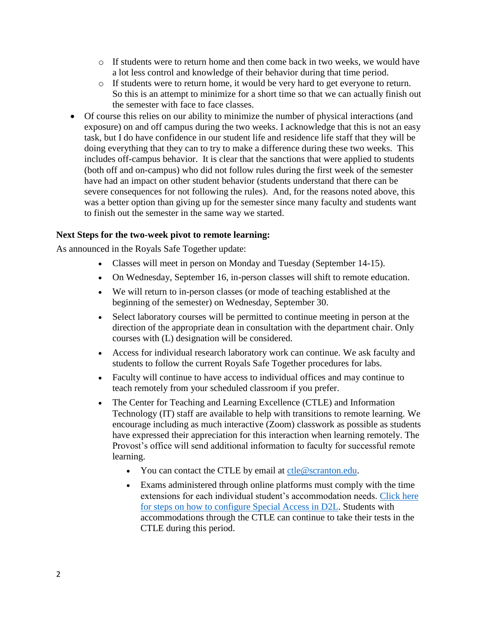- $\circ$  If students were to return home and then come back in two weeks, we would have a lot less control and knowledge of their behavior during that time period.
- o If students were to return home, it would be very hard to get everyone to return. So this is an attempt to minimize for a short time so that we can actually finish out the semester with face to face classes.
- Of course this relies on our ability to minimize the number of physical interactions (and exposure) on and off campus during the two weeks. I acknowledge that this is not an easy task, but I do have confidence in our student life and residence life staff that they will be doing everything that they can to try to make a difference during these two weeks. This includes off-campus behavior. It is clear that the sanctions that were applied to students (both off and on-campus) who did not follow rules during the first week of the semester have had an impact on other student behavior (students understand that there can be severe consequences for not following the rules). And, for the reasons noted above, this was a better option than giving up for the semester since many faculty and students want to finish out the semester in the same way we started.

# **Next Steps for the two-week pivot to remote learning:**

As announced in the Royals Safe Together update:

- Classes will meet in person on Monday and Tuesday (September 14-15).
- On Wednesday, September 16, in-person classes will shift to remote education.
- We will return to in-person classes (or mode of teaching established at the beginning of the semester) on Wednesday, September 30.
- Select laboratory courses will be permitted to continue meeting in person at the direction of the appropriate dean in consultation with the department chair. Only courses with (L) designation will be considered.
- Access for individual research laboratory work can continue. We ask faculty and students to follow the current Royals Safe Together procedures for labs.
- Faculty will continue to have access to individual offices and may continue to teach remotely from your scheduled classroom if you prefer.
- The Center for Teaching and Learning Excellence (CTLE) and Information Technology (IT) staff are available to help with transitions to remote learning. We encourage including as much interactive (Zoom) classwork as possible as students have expressed their appreciation for this interaction when learning remotely. The Provost's office will send additional information to faculty for successful remote learning.
	- You can contact the CTLE by email at  $ctle@scr$  anton.edu.
	- Exams administered through online platforms must comply with the time extensions for each individual student's accommodation needs. [Click here](https://www.scranton.edu/academics/lms/brightspace-configuring-special-access.pdf)  [for steps on how to configure Special Access in D2L.](https://www.scranton.edu/academics/lms/brightspace-configuring-special-access.pdf) Students with accommodations through the CTLE can continue to take their tests in the CTLE during this period.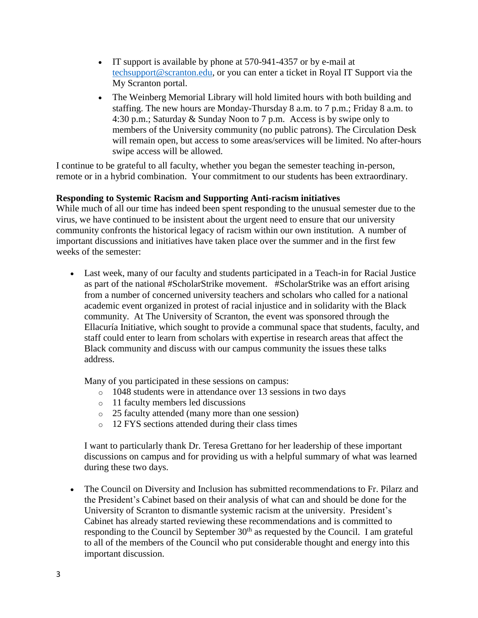- IT support is available by phone at 570-941-4357 or by e-mail at [techsupport@scranton.edu,](mailto:techsupport@scranton.edu) or you can enter a ticket in Royal IT Support via the My Scranton portal.
- The Weinberg Memorial Library will hold limited hours with both building and staffing. The new hours are Monday-Thursday 8 a.m. to 7 p.m.; Friday 8 a.m. to 4:30 p.m.; Saturday & Sunday Noon to 7 p.m. Access is by swipe only to members of the University community (no public patrons). The Circulation Desk will remain open, but access to some areas/services will be limited. No after-hours swipe access will be allowed.

I continue to be grateful to all faculty, whether you began the semester teaching in-person, remote or in a hybrid combination. Your commitment to our students has been extraordinary.

# **Responding to Systemic Racism and Supporting Anti-racism initiatives**

While much of all our time has indeed been spent responding to the unusual semester due to the virus, we have continued to be insistent about the urgent need to ensure that our university community confronts the historical legacy of racism within our own institution. A number of important discussions and initiatives have taken place over the summer and in the first few weeks of the semester:

 Last week, many of our faculty and students participated in a Teach-in for Racial Justice as part of the national #ScholarStrike movement. #ScholarStrike was an effort arising from a number of concerned university teachers and scholars who called for a national academic event organized in protest of racial injustice and in solidarity with the Black community. At The University of Scranton, the event was sponsored through the Ellacuría Initiative, which sought to provide a communal space that students, faculty, and staff could enter to learn from scholars with expertise in research areas that affect the Black community and discuss with our campus community the issues these talks address.

Many of you participated in these sessions on campus:

- o 1048 students were in attendance over 13 sessions in two days
- o 11 faculty members led discussions
- o 25 faculty attended (many more than one session)
- o 12 FYS sections attended during their class times

I want to particularly thank Dr. Teresa Grettano for her leadership of these important discussions on campus and for providing us with a helpful summary of what was learned during these two days.

 The Council on Diversity and Inclusion has submitted recommendations to Fr. Pilarz and the President's Cabinet based on their analysis of what can and should be done for the University of Scranton to dismantle systemic racism at the university. President's Cabinet has already started reviewing these recommendations and is committed to responding to the Council by September  $30<sup>th</sup>$  as requested by the Council. I am grateful to all of the members of the Council who put considerable thought and energy into this important discussion.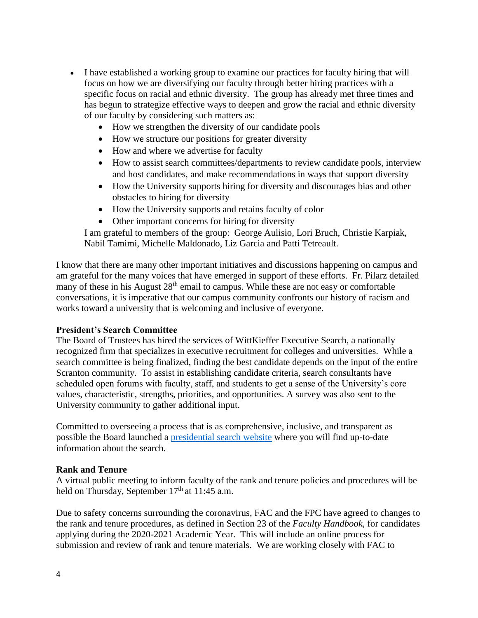- I have established a working group to examine our practices for faculty hiring that will focus on how we are diversifying our faculty through better hiring practices with a specific focus on racial and ethnic diversity. The group has already met three times and has begun to strategize effective ways to deepen and grow the racial and ethnic diversity of our faculty by considering such matters as:
	- How we strengthen the diversity of our candidate pools
	- How we structure our positions for greater diversity
	- How and where we advertise for faculty
	- How to assist search committees/departments to review candidate pools, interview and host candidates, and make recommendations in ways that support diversity
	- How the University supports hiring for diversity and discourages bias and other obstacles to hiring for diversity
	- How the University supports and retains faculty of color
	- Other important concerns for hiring for diversity

I am grateful to members of the group: George Aulisio, Lori Bruch, Christie Karpiak, Nabil Tamimi, Michelle Maldonado, Liz Garcia and Patti Tetreault.

I know that there are many other important initiatives and discussions happening on campus and am grateful for the many voices that have emerged in support of these efforts. Fr. Pilarz detailed many of these in his August  $28<sup>th</sup>$  email to campus. While these are not easy or comfortable conversations, it is imperative that our campus community confronts our history of racism and works toward a university that is welcoming and inclusive of everyone.

### **President's Search Committee**

The Board of Trustees has hired the services of WittKieffer Executive Search, a nationally recognized firm that specializes in executive recruitment for colleges and universities. While a search committee is being finalized, finding the best candidate depends on the input of the entire Scranton community. To assist in establishing candidate criteria, search consultants have scheduled open forums with faculty, staff, and students to get a sense of the University's core values, characteristic, strengths, priorities, and opportunities. A survey was also sent to the University community to gather additional input.

Committed to overseeing a process that is as comprehensive, inclusive, and transparent as possible the Board launched a [presidential search website](https://www.scranton.edu/about/presidential-searches/2020/index.shtml) where you will find up-to-date information about the search.

### **Rank and Tenure**

A virtual public meeting to inform faculty of the rank and tenure policies and procedures will be held on Thursday, September  $17<sup>th</sup>$  at 11:45 a.m.

Due to safety concerns surrounding the coronavirus, FAC and the FPC have agreed to changes to the rank and tenure procedures, as defined in Section 23 of the *Faculty Handbook,* for candidates applying during the 2020-2021 Academic Year. This will include an online process for submission and review of rank and tenure materials. We are working closely with FAC to